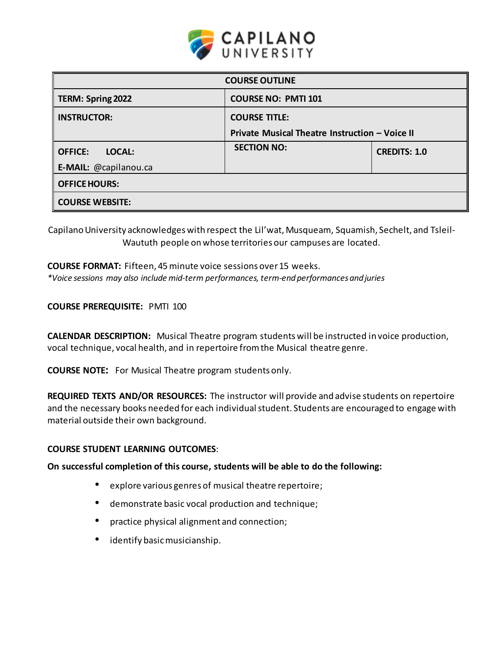

| <b>COURSE OUTLINE</b>    |                                                |                     |  |  |  |
|--------------------------|------------------------------------------------|---------------------|--|--|--|
| TERM: Spring 2022        | <b>COURSE NO: PMTI 101</b>                     |                     |  |  |  |
| <b>INSTRUCTOR:</b>       | <b>COURSE TITLE:</b>                           |                     |  |  |  |
|                          | Private Musical Theatre Instruction - Voice II |                     |  |  |  |
| <b>OFFICE:</b><br>LOCAL: | <b>SECTION NO:</b>                             | <b>CREDITS: 1.0</b> |  |  |  |
| E-MAIL: @capilanou.ca    |                                                |                     |  |  |  |
| <b>OFFICE HOURS:</b>     |                                                |                     |  |  |  |
| <b>COURSE WEBSITE:</b>   |                                                |                     |  |  |  |

Capilano University acknowledges with respect the Lil'wat, Musqueam, Squamish, Sechelt, and Tsleil-Waututh people on whose territories our campuses are located.

# **COURSE FORMAT:** Fifteen, 45minute voice sessions over15 weeks.

*\*Voice sessions may also include mid-term performances, term-end performances and juries*

## **COURSE PREREQUISITE:** PMTI 100

**CALENDAR DESCRIPTION:** Musical Theatre program students will be instructed in voice production, vocal technique, vocal health, and in repertoire fromthe Musical theatre genre.

**COURSE NOTE:** For Musical Theatre program students only.

**REQUIRED TEXTS AND/OR RESOURCES:** The instructor will provide and advise students on repertoire and the necessary books needed for each individual student. Students are encouraged to engage with material outside their own background.

## **COURSE STUDENT LEARNING OUTCOMES**:

**On successful completion of this course, students will be able to do the following:**

- explore various genres of musical theatre repertoire;
- demonstrate basic vocal production and technique;
- practice physical alignment and connection;
- identify basicmusicianship.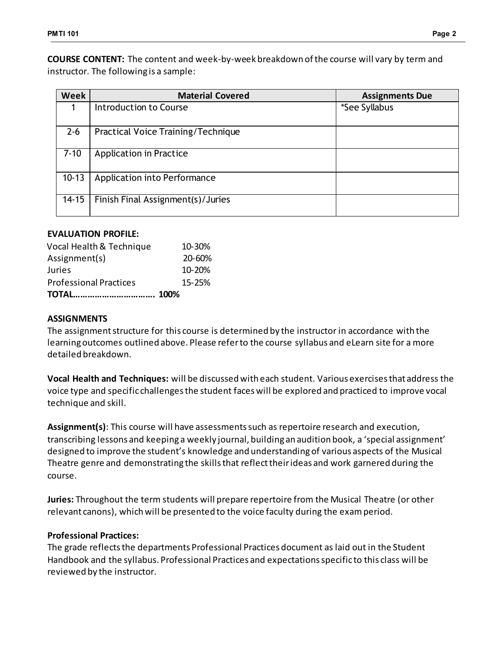**COURSE CONTENT:** The content and week-by-week breakdown of the course will vary by term and instructor. The following is a sample:

| <b>Week</b> | <b>Material Covered</b>            | <b>Assignments Due</b> |  |
|-------------|------------------------------------|------------------------|--|
|             | Introduction to Course             | *See Syllabus          |  |
| $2 - 6$     | Practical Voice Training/Technique |                        |  |
| $7 - 10$    | <b>Application in Practice</b>     |                        |  |
| $10-13$     | Application into Performance       |                        |  |
| $14 - 15$   | Finish Final Assignment(s)/Juries  |                        |  |

# **EVALUATION PROFILE:**

| Vocal Health & Technique      | 10-30%     |
|-------------------------------|------------|
| Assignment(s)                 | 20-60%     |
| Juries                        | 10-20%     |
| <b>Professional Practices</b> | $15 - 25%$ |
|                               |            |

# **ASSIGNMENTS**

The assignment structure for this course is determined by the instructor in accordance with the learning outcomes outlined above. Please refer to the course syllabus and eLearn site for a more detailed breakdown.

**Vocal Health and Techniques:** will be discussed with each student. Various exercises that address the voice type and specific challenges the student faces will be explored and practiced to improve vocal technique and skill.

**Assignment(s)**: This course will have assessments such as repertoire research and execution, transcribing lessons and keeping a weekly journal, building an audition book, a 'special assignment' designed to improve the student's knowledge and understanding of various aspects of the Musical Theatre genre and demonstrating the skills that reflect their ideas and work garnered during the course.

**Juries:** Throughout the term students will prepare repertoire from the Musical Theatre (or other relevant canons), which will be presented to the voice faculty during the exam period.

# **Professional Practices:**

The grade reflects the departments Professional Practices document as laid out in the Student Handbook and the syllabus. Professional Practices and expectations specific to this class will be reviewed by the instructor.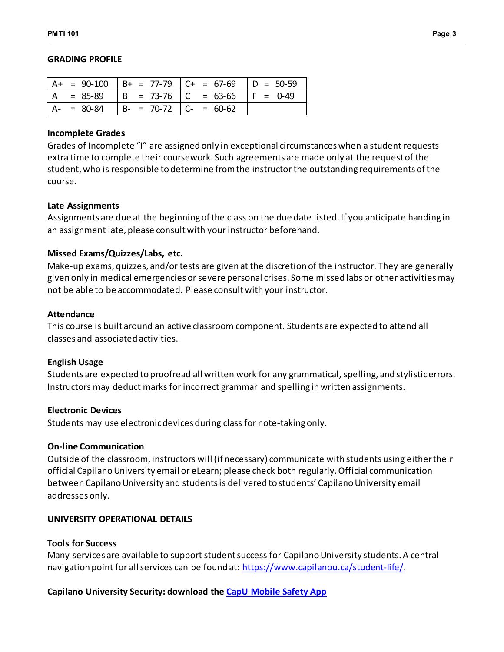#### **GRADING PROFILE**

|           |                               | = 90-100   B+ = 77-79   C+ = 67-69   D = 50-59 |            |
|-----------|-------------------------------|------------------------------------------------|------------|
| = 85-89   |                               | $\vert$ B = 73-76 $\vert$ C = 63-66            | $F = 0-49$ |
| $= 80-84$ | $  B - = 70-72   C - = 60-62$ |                                                |            |

#### **Incomplete Grades**

Grades of Incomplete "I" are assigned only in exceptional circumstances when a student requests extra time to complete their coursework. Such agreements are made only at the request of the student, who is responsible to determine from the instructor the outstanding requirements of the course.

#### **Late Assignments**

Assignments are due at the beginning of the class on the due date listed. If you anticipate handing in an assignment late, please consult with your instructor beforehand.

## **Missed Exams/Quizzes/Labs, etc.**

Make-up exams, quizzes, and/or tests are given at the discretion of the instructor. They are generally given only in medical emergencies or severe personal crises. Some missed labs or other activities may not be able to be accommodated. Please consult with your instructor.

#### **Attendance**

This course is built around an active classroom component. Students are expected to attend all classes and associated activities.

## **English Usage**

Students are expected to proofread all written work for any grammatical, spelling, and stylistic errors. Instructors may deduct marks for incorrect grammar and spelling in written assignments.

## **Electronic Devices**

Students may use electronic devices during class for note-taking only.

## **On-line Communication**

Outside of the classroom, instructors will (if necessary) communicate with students using either their official Capilano University email or eLearn; please check both regularly. Official communication between Capilano University and students is delivered to students' Capilano University email addresses only.

## **UNIVERSITY OPERATIONAL DETAILS**

## **Tools for Success**

Many services are available to support student success for Capilano University students. A central navigation point for all services can be found at: <https://www.capilanou.ca/student-life/>.

## **Capilano University Security: download the [CapU Mobile](https://www.capilanou.ca/student-life/support--wellness/safety--security/capu-safe-app/) Safety App**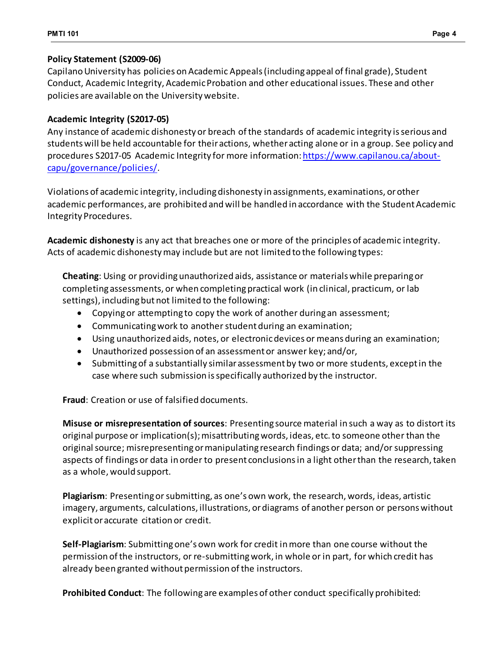# **Policy Statement (S2009-06)**

Capilano University has policies on Academic Appeals (including appeal of final grade), Student Conduct, Academic Integrity, Academic Probation and other educational issues. These and other policies are available on the University website.

# **Academic Integrity (S2017-05)**

Any instance of academic dishonesty or breach of the standards of academic integrity is serious and students will be held accountable for their actions, whether acting alone or in a group. See policy and procedures S2017-05 Academic Integrity for more information[: https://www.capilanou.ca/about](https://www.capilanou.ca/about-capu/governance/policies/)[capu/governance/policies/](https://www.capilanou.ca/about-capu/governance/policies/).

Violations of academic integrity, including dishonesty in assignments, examinations, or other academic performances, are prohibited and will be handled in accordance with the Student Academic Integrity Procedures.

**Academic dishonesty** is any act that breaches one or more of the principles of academic integrity. Acts of academic dishonesty may include but are not limited to the following types:

**Cheating**: Using or providing unauthorized aids, assistance or materials while preparing or completing assessments, or when completing practical work (in clinical, practicum, or lab settings), including but not limited to the following:

- Copying or attempting to copy the work of another during an assessment;
- Communicating work to another student during an examination;
- Using unauthorized aids, notes, or electronic devices or means during an examination;
- Unauthorized possession of an assessment or answer key; and/or,
- Submitting of a substantially similar assessment by two or more students, except in the case where such submission is specifically authorized by the instructor.

**Fraud**: Creation or use of falsified documents.

**Misuse or misrepresentation of sources**: Presenting source material in such a way as to distort its original purpose or implication(s); misattributing words, ideas, etc. to someone other than the original source; misrepresenting or manipulating research findings or data; and/or suppressing aspects of findings or data in order to present conclusions in a light other than the research, taken as a whole, would support.

**Plagiarism**: Presenting or submitting, as one's own work, the research, words, ideas, artistic imagery, arguments, calculations, illustrations, or diagrams of another person or persons without explicit or accurate citation or credit.

**Self-Plagiarism**: Submitting one's own work for credit in more than one course without the permission of the instructors, or re-submitting work, in whole or in part, for which credit has already been granted without permission of the instructors.

**Prohibited Conduct**: The following are examples of other conduct specifically prohibited: